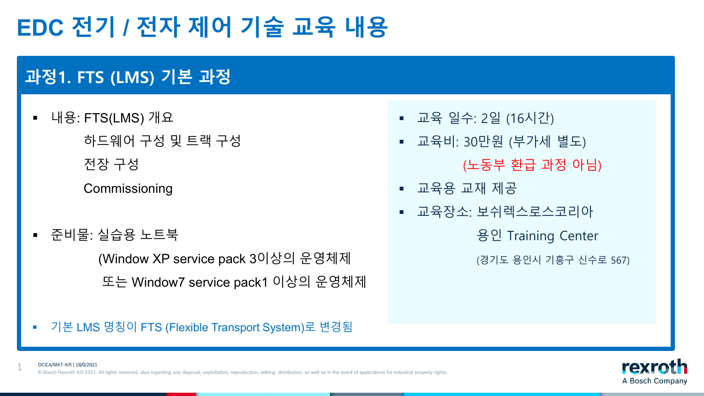### **EDC 전기 / 전자 제어 기술 교육 내용**

### **과정1. FTS (LMS) 기본 과정**

- 내용: FTS(LMS) 개요 하드웨어 구성 및 트랙 구성
	- 전장 구성

**Commissioning** 

준비물: 실습용 노트북

1

(Window XP service pack 3이상의 운영체제 또는 Window7 service pack1 이상의 운영체제

- 교육 일수: 2일 (16시간)
- 교육비: 30만원 (부가세 별도)

(노동부 환급 과정 아님)

- 교육용 교재 제공
- 교육장소: 보쉬렉스로스코리아

용인 Training Center

(경기도 용인시 기흥구 신수로 567)

■ 기본 LMS 명칭이 FTS (Flexible Transport System)로 변경됨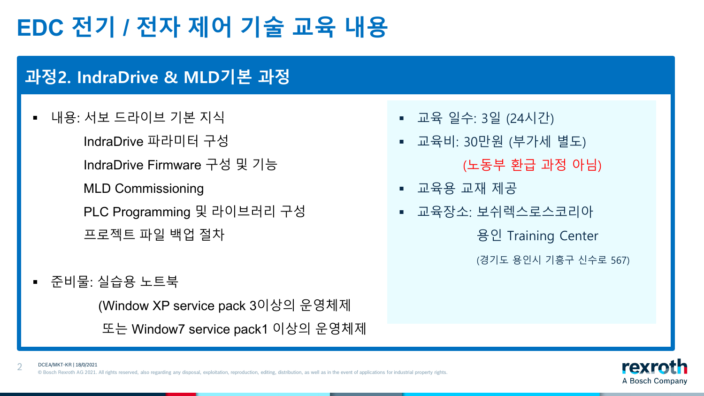# **EDC 전기 / 전자 제어 기술 교육 내용**

#### **과정2. IndraDrive & MLD기본 과정**

■ 내용: 서보 드라이브 기본 지식

IndraDrive 파라미터 구성

IndraDrive Firmware 구성 및 기능

MLD Commissioning

PLC Programming 및 라이브러리 구성 프로젝트 파일 백업 절차

준비물: 실습용 노트북

(Window XP service pack 3이상의 운영체제 또는 Window7 service pack1 이상의 운영체제

- 교육 일수: 3일 (24시간)
- 교육비: 30만원 (부가세 별도)

(노동부 환급 과정 아님)

- 교육용 교재 제공
- 교육장소: 보쉬렉스로스코리아

용인 Training Center

(경기도 용인시 기흥구 신수로 567)



2